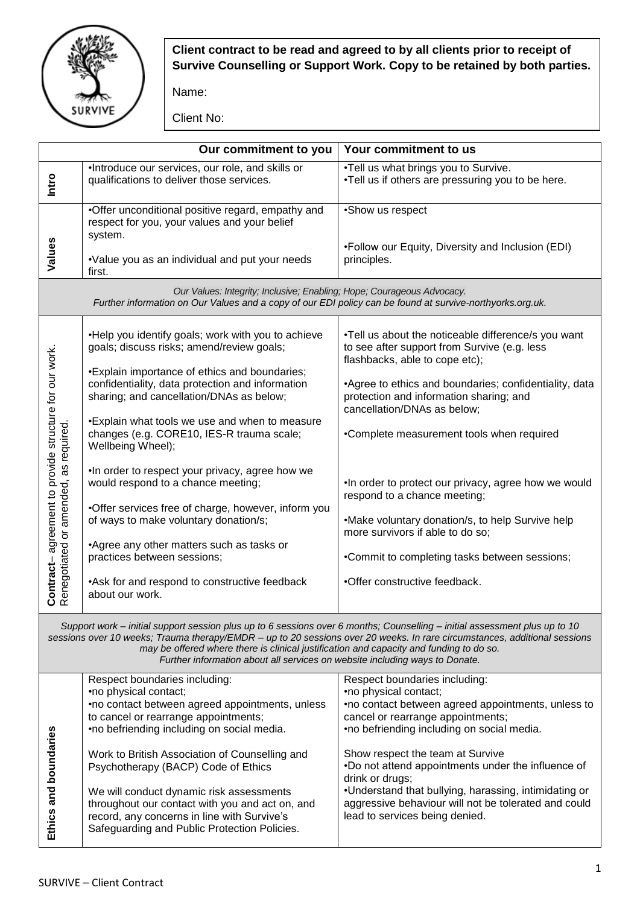

## **Client contract to be read and agreed to by all clients prior to receipt of Survive Counselling or Support Work. Copy to be retained by both parties.**

Name:

Client No:

|                                                                                                                                                                                                                                                                                                                                                                                                                                   | Our commitment to you                                                                                                                                                                      | Your commitment to us                                                                                                                           |  |  |
|-----------------------------------------------------------------------------------------------------------------------------------------------------------------------------------------------------------------------------------------------------------------------------------------------------------------------------------------------------------------------------------------------------------------------------------|--------------------------------------------------------------------------------------------------------------------------------------------------------------------------------------------|-------------------------------------------------------------------------------------------------------------------------------------------------|--|--|
| Intro                                                                                                                                                                                                                                                                                                                                                                                                                             | ·Introduce our services, our role, and skills or<br>qualifications to deliver those services.                                                                                              | .Tell us what brings you to Survive.<br>.Tell us if others are pressuring you to be here.                                                       |  |  |
| Values                                                                                                                                                                                                                                                                                                                                                                                                                            | •Offer unconditional positive regard, empathy and<br>respect for you, your values and your belief<br>system.                                                                               | •Show us respect                                                                                                                                |  |  |
|                                                                                                                                                                                                                                                                                                                                                                                                                                   | •Value you as an individual and put your needs<br>first.                                                                                                                                   | •Follow our Equity, Diversity and Inclusion (EDI)<br>principles.                                                                                |  |  |
| Our Values: Integrity; Inclusive; Enabling; Hope; Courageous Advocacy.<br>Further information on Our Values and a copy of our EDI policy can be found at survive-northyorks.org.uk.                                                                                                                                                                                                                                               |                                                                                                                                                                                            |                                                                                                                                                 |  |  |
| Contract-agreement to provide structure for our work.<br>Renegotiated or amended, as required.                                                                                                                                                                                                                                                                                                                                    | . Help you identify goals; work with you to achieve<br>goals; discuss risks; amend/review goals;                                                                                           | .Tell us about the noticeable difference/s you want<br>to see after support from Survive (e.g. less<br>flashbacks, able to cope etc);           |  |  |
|                                                                                                                                                                                                                                                                                                                                                                                                                                   | *Explain importance of ethics and boundaries;<br>confidentiality, data protection and information<br>sharing; and cancellation/DNAs as below;                                              | •Agree to ethics and boundaries; confidentiality, data<br>protection and information sharing; and<br>cancellation/DNAs as below;                |  |  |
|                                                                                                                                                                                                                                                                                                                                                                                                                                   | *Explain what tools we use and when to measure<br>changes (e.g. CORE10, IES-R trauma scale;<br>Wellbeing Wheel);                                                                           | •Complete measurement tools when required                                                                                                       |  |  |
|                                                                                                                                                                                                                                                                                                                                                                                                                                   | . In order to respect your privacy, agree how we<br>would respond to a chance meeting;                                                                                                     | . In order to protect our privacy, agree how we would<br>respond to a chance meeting;                                                           |  |  |
|                                                                                                                                                                                                                                                                                                                                                                                                                                   | •Offer services free of charge, however, inform you<br>of ways to make voluntary donation/s;                                                                                               | •Make voluntary donation/s, to help Survive help<br>more survivors if able to do so;                                                            |  |  |
|                                                                                                                                                                                                                                                                                                                                                                                                                                   | •Agree any other matters such as tasks or<br>practices between sessions;                                                                                                                   | •Commit to completing tasks between sessions;                                                                                                   |  |  |
|                                                                                                                                                                                                                                                                                                                                                                                                                                   | •Ask for and respond to constructive feedback<br>about our work.                                                                                                                           | •Offer constructive feedback.                                                                                                                   |  |  |
| Support work - initial support session plus up to 6 sessions over 6 months; Counselling - initial assessment plus up to 10<br>sessions over 10 weeks; Trauma therapy/EMDR - up to 20 sessions over 20 weeks. In rare circumstances, additional sessions<br>may be offered where there is clinical justification and capacity and funding to do so.<br>Further information about all services on website including ways to Donate. |                                                                                                                                                                                            |                                                                                                                                                 |  |  |
|                                                                                                                                                                                                                                                                                                                                                                                                                                   | Respect boundaries including:<br>•no physical contact;                                                                                                                                     | Respect boundaries including:<br>•no physical contact;                                                                                          |  |  |
|                                                                                                                                                                                                                                                                                                                                                                                                                                   | •no contact between agreed appointments, unless                                                                                                                                            | •no contact between agreed appointments, unless to                                                                                              |  |  |
| Ethics and boundaries                                                                                                                                                                                                                                                                                                                                                                                                             | to cancel or rearrange appointments;<br>•no befriending including on social media.                                                                                                         | cancel or rearrange appointments;<br>•no befriending including on social media.                                                                 |  |  |
|                                                                                                                                                                                                                                                                                                                                                                                                                                   | Work to British Association of Counselling and<br>Psychotherapy (BACP) Code of Ethics                                                                                                      | Show respect the team at Survive<br>.Do not attend appointments under the influence of<br>drink or drugs;                                       |  |  |
|                                                                                                                                                                                                                                                                                                                                                                                                                                   | We will conduct dynamic risk assessments<br>throughout our contact with you and act on, and<br>record, any concerns in line with Survive's<br>Safeguarding and Public Protection Policies. | •Understand that bullying, harassing, intimidating or<br>aggressive behaviour will not be tolerated and could<br>lead to services being denied. |  |  |